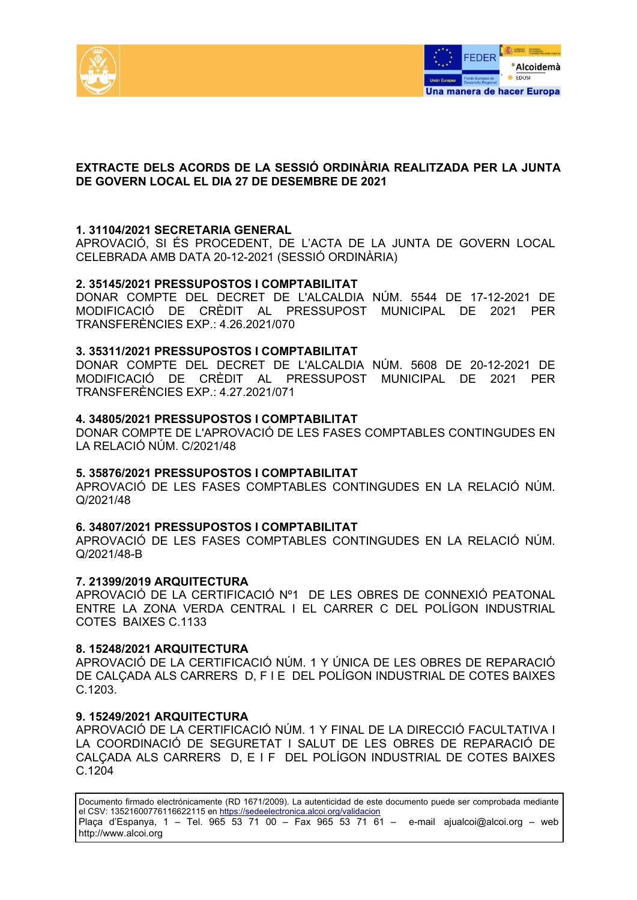



# **EXTRACTE DELS ACORDS DE LA SESSIÓ ORDINÀRIA REALITZADA PER LA JUNTA DE GOVERN LOCAL EL DIA 27 DE DESEMBRE DE 2021**

# **1. 31104/2021 SECRETARIA GENERAL**

APROVACIÓ, SI ÉS PROCEDENT, DE L'ACTA DE LA JUNTA DE GOVERN LOCAL CELEBRADA AMB DATA 20-12-2021 (SESSIÓ ORDINÀRIA)

### **2. 35145/2021 PRESSUPOSTOS I COMPTABILITAT**

DONAR COMPTE DEL DECRET DE L'ALCALDIA NÚM. 5544 DE 17-12-2021 DE MODIFICACIÓ DE CRÈDIT AL PRESSUPOST MUNICIPAL DE 2021 PER TRANSFERÈNCIES EXP  $\cdot$  4.26.2021/070

#### **3. 35311/2021 PRESSUPOSTOS I COMPTABILITAT**

DONAR COMPTE DEL DECRET DE L'ALCALDIA NÚM. 5608 DE 20-12-2021 DE MODIFICACIÓ DE CRÈDIT AL PRESSUPOST MUNICIPAL DE 2021 PER TRANSFERÈNCIES EXP.: 4.27.2021/071

#### **4. 34805/2021 PRESSUPOSTOS I COMPTABILITAT**

DONAR COMPTE DE L'APROVACIÓ DE LES FASES COMPTABLES CONTINGUDES EN LA RELACIÓ NÚM. C/2021/48

#### **5. 35876/2021 PRESSUPOSTOS I COMPTABILITAT**

APROVACIÓ DE LES FASES COMPTABLES CONTINGUDES EN LA RELACIÓ NÚM. Q/2021/48

#### **6. 34807/2021 PRESSUPOSTOS I COMPTABILITAT**

APROVACIÓ DE LES FASES COMPTABLES CONTINGUDES EN LA RELACIÓ NÚM. Q/2021/48-B

#### **7. 21399/2019 ARQUITECTURA**

APROVACIÓ DE LA CERTIFICACIÓ Nº1 DE LES OBRES DE CONNEXIÓ PEATONAL ENTRE LA ZONA VERDA CENTRAL I EL CARRER C DEL POLÍGON INDUSTRIAL COTES BAIXES C.1133

#### **8. 15248/2021 ARQUITECTURA**

APROVACIÓ DE LA CERTIFICACIÓ NÚM. 1 Y ÚNICA DE LES OBRES DE REPARACIÓ DE CALÇADA ALS CARRERS D, F I E DEL POLÍGON INDUSTRIAL DE COTES BAIXES C.1203.

#### **9. 15249/2021 ARQUITECTURA**

APROVACIÓ DE LA CERTIFICACIÓ NÚM. 1 Y FINAL DE LA DIRECCIÓ FACULTATIVA I LA COORDINACIÓ DE SEGURETAT I SALUT DE LES OBRES DE REPARACIÓ DE CALÇADA ALS CARRERS D, E I F DEL POLÍGON INDUSTRIAL DE COTES BAIXES C.1204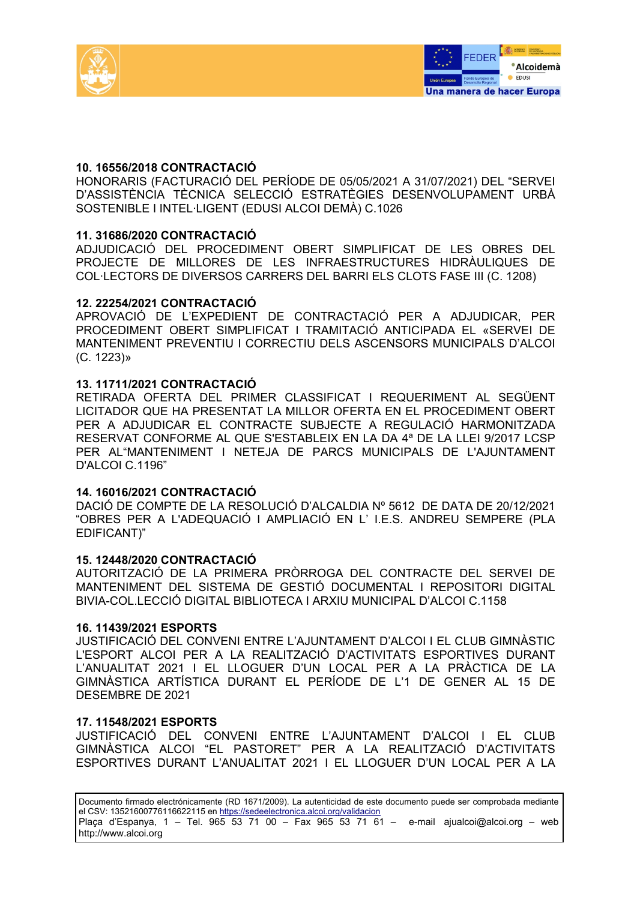



# **10. 16556/2018 CONTRACTACIÓ**

HONORARIS (FACTURACIÓ DEL PERÍODE DE 05/05/2021 A 31/07/2021) DEL "SERVEI D'ASSISTÈNCIA TÈCNICA SELECCIÓ ESTRATÈGIES DESENVOLUPAMENT URBÀ SOSTENIBLE I INTEL·LIGENT (EDUSI ALCOI DEMÀ) C.1026

# **11. 31686/2020 CONTRACTACIÓ**

ADJUDICACIÓ DEL PROCEDIMENT OBERT SIMPLIFICAT DE LES OBRES DEL PROJECTE DE MILLORES DE LES INFRAESTRUCTURES HIDRÀULIQUES DE COL·LECTORS DE DIVERSOS CARRERS DEL BARRI ELS CLOTS FASE III (C. 1208)

### **12. 22254/2021 CONTRACTACIÓ**

APROVACIÓ DE L'EXPEDIENT DE CONTRACTACIÓ PER A ADJUDICAR, PER PROCEDIMENT OBERT SIMPLIFICAT I TRAMITACIÓ ANTICIPADA EL «SERVEI DE MANTENIMENT PREVENTIU I CORRECTIU DELS ASCENSORS MUNICIPALS D'ALCOI (C. 1223)»

# **13. 11711/2021 CONTRACTACIÓ**

RETIRADA OFERTA DEL PRIMER CLASSIFICAT I REQUERIMENT AL SEGÜENT LICITADOR QUE HA PRESENTAT LA MILLOR OFERTA EN EL PROCEDIMENT OBERT PER A ADJUDICAR EL CONTRACTE SUBJECTE A REGULACIÓ HARMONITZADA RESERVAT CONFORME AL QUE S'ESTABLEIX EN LA DA 4ª DE LA LLEI 9/2017 LCSP PER AL"MANTENIMENT I NETEJA DE PARCS MUNICIPALS DE L'AJUNTAMENT D'ALCOI C.1196"

### **14. 16016/2021 CONTRACTACIÓ**

DACIÓ DE COMPTE DE LA RESOLUCIÓ D'ALCALDIA Nº 5612 DE DATA DE 20/12/2021 "OBRES PER A L'ADEQUACIÓ I AMPLIACIÓ EN L' I.E.S. ANDREU SEMPERE (PLA EDIFICANT)"

### **15. 12448/2020 CONTRACTACIÓ**

AUTORITZACIÓ DE LA PRIMERA PRÒRROGA DEL CONTRACTE DEL SERVEI DE MANTENIMENT DEL SISTEMA DE GESTIÓ DOCUMENTAL I REPOSITORI DIGITAL BIVIA-COL.LECCIÓ DIGITAL BIBLIOTECA I ARXIU MUNICIPAL D'ALCOI C.1158

### **16. 11439/2021 ESPORTS**

JUSTIFICACIÓ DEL CONVENI ENTRE L'AJUNTAMENT D'ALCOI I EL CLUB GIMNÀSTIC L'ESPORT ALCOI PER A LA REALITZACIÓ D'ACTIVITATS ESPORTIVES DURANT L'ANUALITAT 2021 I EL LLOGUER D'UN LOCAL PER A LA PRÀCTICA DE LA GIMNÀSTICA ARTÍSTICA DURANT EL PERÍODE DE L'1 DE GENER AL 15 DE DESEMBRE DE 2021

### **17. 11548/2021 ESPORTS**

JUSTIFICACIÓ DEL CONVENI ENTRE L'AJUNTAMENT D'ALCOI I EL CLUB GIMNÀSTICA ALCOI "EL PASTORET" PER A LA REALITZACIÓ D'ACTIVITATS ESPORTIVES DURANT L'ANUALITAT 2021 I EL LLOGUER D'UN LOCAL PER A LA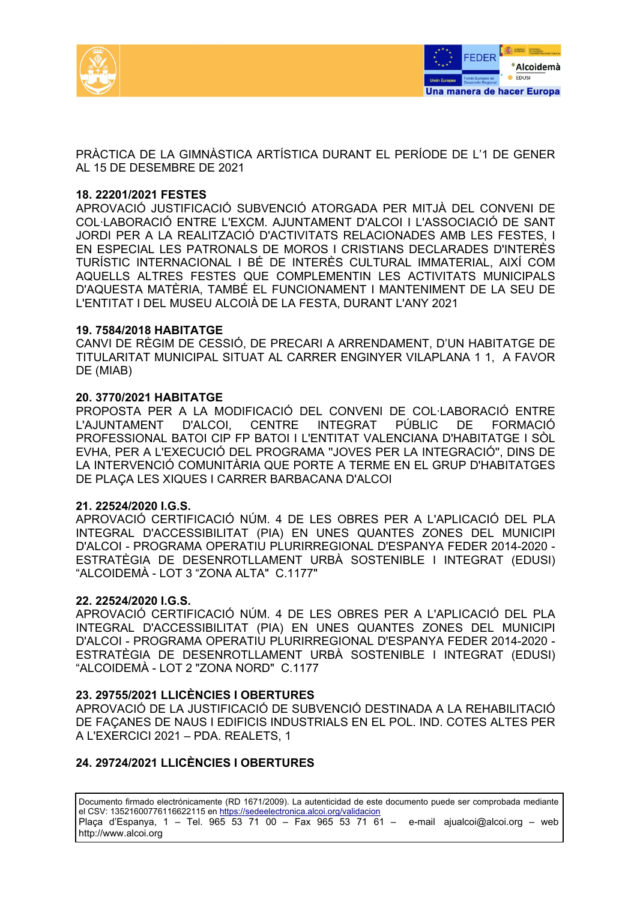



PRÀCTICA DE LA GIMNÀSTICA ARTÍSTICA DURANT EL PERÍODE DE L'1 DE GENER AL 15 DE DESEMBRE DE 2021

### **18. 22201/2021 FESTES**

APROVACIÓ JUSTIFICACIÓ SUBVENCIÓ ATORGADA PER MITJÀ DEL CONVENI DE COL·LABORACIÓ ENTRE L'EXCM. AJUNTAMENT D'ALCOI I L'ASSOCIACIÓ DE SANT JORDI PER A LA REALITZACIÓ D'ACTIVITATS RELACIONADES AMB LES FESTES, I EN ESPECIAL LES PATRONALS DE MOROS I CRISTIANS DECLARADES D'INTERÈS TURÍSTIC INTERNACIONAL I BÉ DE INTERÈS CULTURAL IMMATERIAL, AIXÍ COM AQUELLS ALTRES FESTES QUE COMPLEMENTIN LES ACTIVITATS MUNICIPALS D'AQUESTA MATÈRIA, TAMBÉ EL FUNCIONAMENT I MANTENIMENT DE LA SEU DE L'ENTITAT I DEL MUSEU ALCOIÀ DE LA FESTA, DURANT L'ANY 2021

# **19. 7584/2018 HABITATGE**

CANVI DE RÈGIM DE CESSIÓ, DE PRECARI A ARRENDAMENT, D'UN HABITATGE DE TITULARITAT MUNICIPAL SITUAT AL CARRER ENGINYER VILAPLANA 1 1, A FAVOR DE (MIAB)

# **20. 3770/2021 HABITATGE**

PROPOSTA PER A LA MODIFICACIÓ DEL CONVENI DE COL·LABORACIÓ ENTRE L'AJUNTAMENT D'ALCOI, CENTRE INTEGRAT PÚBLIC DE FORMACIÓ PROFESSIONAL BATOI CIP FP BATOI I L'ENTITAT VALENCIANA D'HABITATGE I SÒL EVHA, PER A L'EXECUCIÓ DEL PROGRAMA ''JOVES PER LA INTEGRACIÓ'', DINS DE LA INTERVENCIÓ COMUNITÀRIA QUE PORTE A TERME EN EL GRUP D'HABITATGES DE PLAÇA LES XIQUES I CARRER BARBACANA D'ALCOI

### **21. 22524/2020 I.G.S.**

APROVACIÓ CERTIFICACIÓ NÚM. 4 DE LES OBRES PER A L'APLICACIÓ DEL PLA INTEGRAL D'ACCESSIBILITAT (PIA) EN UNES QUANTES ZONES DEL MUNICIPI D'ALCOI - PROGRAMA OPERATIU PLURIRREGIONAL D'ESPANYA FEDER 2014-2020 - ESTRATÈGIA DE DESENROTLLAMENT URBÀ SOSTENIBLE I INTEGRAT (EDUSI) "ALCOIDEMÀ - LOT 3 "ZONA ALTA" C.1177"

### **22. 22524/2020 I.G.S.**

APROVACIÓ CERTIFICACIÓ NÚM. 4 DE LES OBRES PER A L'APLICACIÓ DEL PLA INTEGRAL D'ACCESSIBILITAT (PIA) EN UNES QUANTES ZONES DEL MUNICIPI D'ALCOI - PROGRAMA OPERATIU PLURIRREGIONAL D'ESPANYA FEDER 2014-2020 - ESTRATÈGIA DE DESENROTLLAMENT URBÀ SOSTENIBLE I INTEGRAT (EDUSI) "ALCOIDEMÀ - LOT 2 "ZONA NORD" C.1177

### **23. 29755/2021 LLICÈNCIES I OBERTURES**

APROVACIÓ DE LA JUSTIFICACIÓ DE SUBVENCIÓ DESTINADA A LA REHABILITACIÓ DE FAÇANES DE NAUS I EDIFICIS INDUSTRIALS EN EL POL. IND. COTES ALTES PER A L'EXERCICI 2021 – PDA. REALETS, 1

# **24. 29724/2021 LLICÈNCIES I OBERTURES**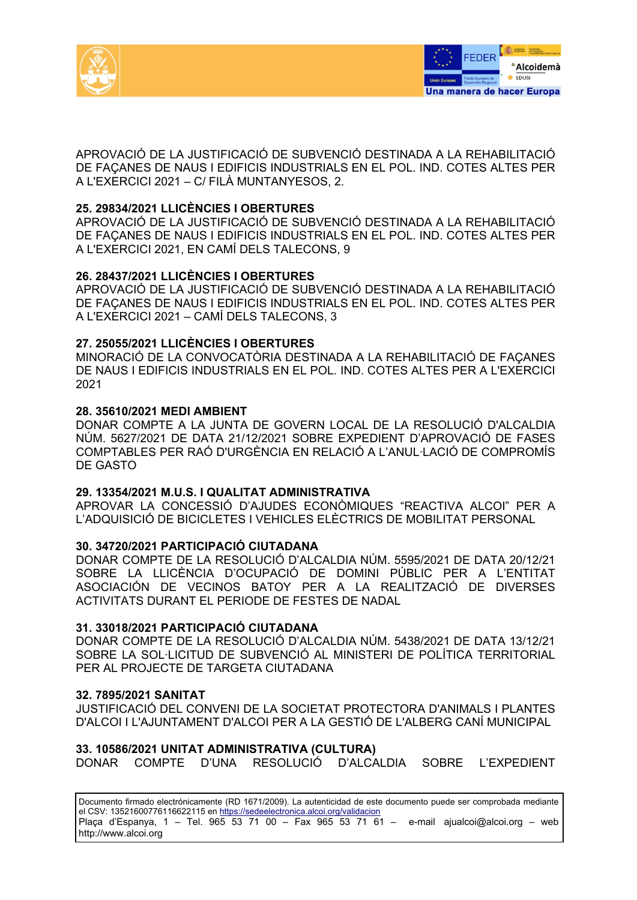



APROVACIÓ DE LA JUSTIFICACIÓ DE SUBVENCIÓ DESTINADA A LA REHABILITACIÓ DE FAÇANES DE NAUS I EDIFICIS INDUSTRIALS EN EL POL. IND. COTES ALTES PER A L'EXERCICI 2021 – C/ FILÀ MUNTANYESOS, 2.

# **25. 29834/2021 LLICÈNCIES I OBERTURES**

APROVACIÓ DE LA JUSTIFICACIÓ DE SUBVENCIÓ DESTINADA A LA REHABILITACIÓ DE FAÇANES DE NAUS I EDIFICIS INDUSTRIALS EN EL POL. IND. COTES ALTES PER A L'EXERCICI 2021, EN CAMÍ DELS TALECONS, 9

# **26. 28437/2021 LLICÈNCIES I OBERTURES**

APROVACIÓ DE LA JUSTIFICACIÓ DE SUBVENCIÓ DESTINADA A LA REHABILITACIÓ DE FAÇANES DE NAUS I EDIFICIS INDUSTRIALS EN EL POL. IND. COTES ALTES PER A L'EXERCICI 2021 – CAMÍ DELS TALECONS, 3

# **27. 25055/2021 LLICÈNCIES I OBERTURES**

MINORACIÓ DE LA CONVOCATÒRIA DESTINADA A LA REHABILITACIÓ DE FAÇANES DE NAUS I EDIFICIS INDUSTRIALS EN EL POL. IND. COTES ALTES PER A L'EXERCICI 2021

# **28. 35610/2021 MEDI AMBIENT**

DONAR COMPTE A LA JUNTA DE GOVERN LOCAL DE LA RESOLUCIÓ D'ALCALDIA NÚM. 5627/2021 DE DATA 21/12/2021 SOBRE EXPEDIENT D'APROVACIÓ DE FASES COMPTABLES PER RAÓ D'URGÈNCIA EN RELACIÓ A L'ANUL·LACIÓ DE COMPROMÍS DE GASTO

### **29. 13354/2021 M.U.S. I QUALITAT ADMINISTRATIVA**

APROVAR LA CONCESSIÓ D'AJUDES ECONÒMIQUES "REACTIVA ALCOI" PER A L'ADQUISICIÓ DE BICICLETES I VEHICLES ELÈCTRICS DE MOBILITAT PERSONAL

### **30. 34720/2021 PARTICIPACIÓ CIUTADANA**

DONAR COMPTE DE LA RESOLUCIÓ D'ALCALDIA NÚM. 5595/2021 DE DATA 20/12/21 SOBRE LA LLICÈNCIA D'OCUPACIÓ DE DOMINI PÚBLIC PER A L'ENTITAT ASOCIACIÓN DE VECINOS BATOY PER A LA REALITZACIÓ DE DIVERSES ACTIVITATS DURANT EL PERIODE DE FESTES DE NADAL

### **31. 33018/2021 PARTICIPACIÓ CIUTADANA**

DONAR COMPTE DE LA RESOLUCIÓ D'ALCALDIA NÚM. 5438/2021 DE DATA 13/12/21 SOBRE LA SOL·LICITUD DE SUBVENCIÓ AL MINISTERI DE POLÍTICA TERRITORIAL PER AL PROJECTE DE TARGETA CIUTADANA

### **32. 7895/2021 SANITAT**

JUSTIFICACIÓ DEL CONVENI DE LA SOCIETAT PROTECTORA D'ANIMALS I PLANTES D'ALCOI I L'AJUNTAMENT D'ALCOI PER A LA GESTIÓ DE L'ALBERG CANÍ MUNICIPAL

### **33. 10586/2021 UNITAT ADMINISTRATIVA (CULTURA)**

DONAR COMPTE D'UNA RESOLUCIÓ D'ALCALDIA SOBRE L'EXPEDIENT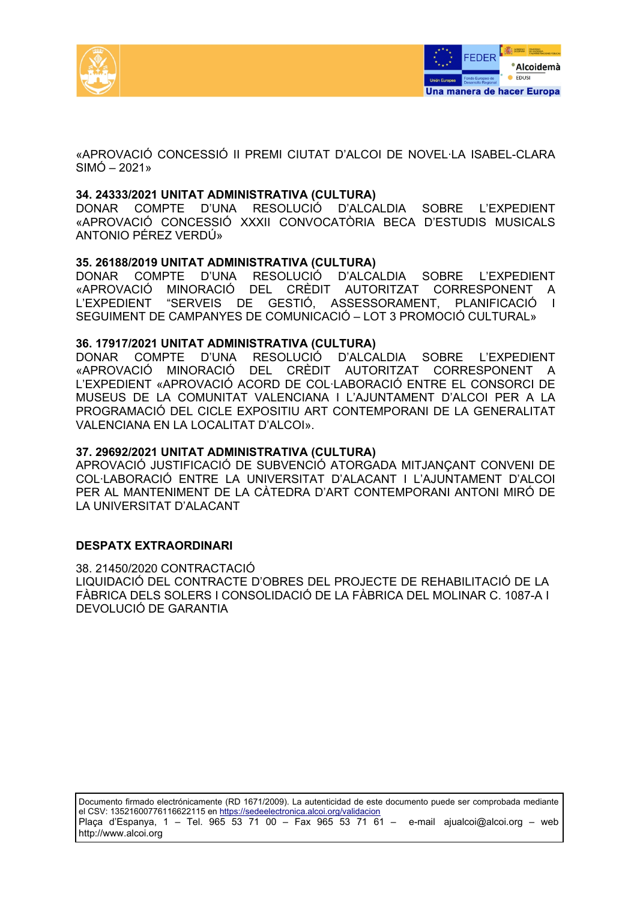



«APROVACIÓ CONCESSIÓ II PREMI CIUTAT D'ALCOI DE NOVEL·LA ISABEL-CLARA  $SIMÓ - 2021$ 

#### **34. 24333/2021 UNITAT ADMINISTRATIVA (CULTURA)**

DONAR COMPTE D'UNA RESOLUCIÓ D'ALCALDIA SOBRE L'EXPEDIENT «APROVACIÓ CONCESSIÓ XXXII CONVOCATÒRIA BECA D'ESTUDIS MUSICALS ANTONIO PÉREZ VERDÚ»

### **35. 26188/2019 UNITAT ADMINISTRATIVA (CULTURA)**

DONAR COMPTE D'UNA RESOLUCIÓ D'ALCALDIA SOBRE L'EXPEDIENT «APROVACIÓ MINORACIÓ DEL CRÈDIT AUTORITZAT CORRESPONENT A L'EXPEDIENT "SERVEIS DE GESTIÓ, ASSESSORAMENT, PLANIFICACIÓ I SEGUIMENT DE CAMPANYES DE COMUNICACIÓ – LOT 3 PROMOCIÓ CULTURAL»

#### **36. 17917/2021 UNITAT ADMINISTRATIVA (CULTURA)**

DONAR COMPTE D'UNA RESOLUCIÓ D'ALCALDIA SOBRE L'EXPEDIENT «APROVACIÓ MINORACIÓ DEL CRÈDIT AUTORITZAT CORRESPONENT A L'EXPEDIENT «APROVACIÓ ACORD DE COL·LABORACIÓ ENTRE EL CONSORCI DE MUSEUS DE LA COMUNITAT VALENCIANA I L'AJUNTAMENT D'ALCOI PER A LA PROGRAMACIÓ DEL CICLE EXPOSITIU ART CONTEMPORANI DE LA GENERALITAT VALENCIANA EN LA LOCALITAT D'ALCOI».

#### **37. 29692/2021 UNITAT ADMINISTRATIVA (CULTURA)**

APROVACIÓ JUSTIFICACIÓ DE SUBVENCIÓ ATORGADA MITJANÇANT CONVENI DE COL·LABORACIÓ ENTRE LA UNIVERSITAT D'ALACANT I L'AJUNTAMENT D'ALCOI PER AL MANTENIMENT DE LA CÀTEDRA D'ART CONTEMPORANI ANTONI MIRÓ DE LA UNIVERSITAT D'ALACANT

### **DESPATX EXTRAORDINARI**

38. 21450/2020 CONTRACTACIÓ LIQUIDACIÓ DEL CONTRACTE D'OBRES DEL PROJECTE DE REHABILITACIÓ DE LA FÀBRICA DELS SOLERS I CONSOLIDACIÓ DE LA FÀBRICA DEL MOLINAR C. 1087-A I DEVOLUCIÓ DE GARANTIA